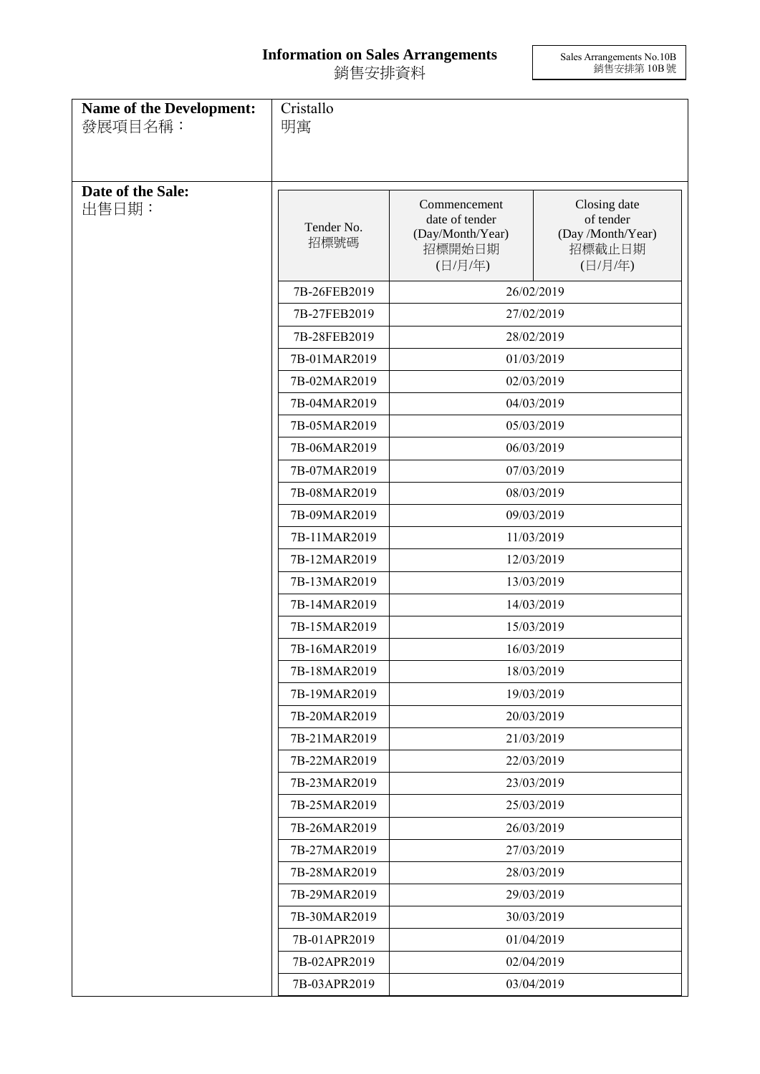## **Information on Sales Arrangements** 銷售安排資料

Sales Arrangements No.10B 銷售安排第 10B 號

| <b>Name of the Development:</b><br>發展項目名稱: | Cristallo<br>明寓    |                                                                         |                                                                     |
|--------------------------------------------|--------------------|-------------------------------------------------------------------------|---------------------------------------------------------------------|
|                                            |                    |                                                                         |                                                                     |
| Date of the Sale:<br>出售日期:                 | Tender No.<br>招標號碼 | Commencement<br>date of tender<br>(Day/Month/Year)<br>招標開始日期<br>(日/月/年) | Closing date<br>of tender<br>(Day /Month/Year)<br>招標截止日期<br>(日/月/年) |
|                                            | 7B-26FEB2019       |                                                                         | 26/02/2019                                                          |
|                                            | 7B-27FEB2019       |                                                                         | 27/02/2019                                                          |
|                                            | 7B-28FEB2019       |                                                                         | 28/02/2019                                                          |
|                                            | 7B-01MAR2019       |                                                                         | 01/03/2019                                                          |
|                                            | 7B-02MAR2019       |                                                                         | 02/03/2019                                                          |
|                                            | 7B-04MAR2019       |                                                                         | 04/03/2019                                                          |
|                                            | 7B-05MAR2019       |                                                                         | 05/03/2019                                                          |
|                                            | 7B-06MAR2019       |                                                                         | 06/03/2019                                                          |
|                                            | 7B-07MAR2019       |                                                                         | 07/03/2019                                                          |
|                                            | 7B-08MAR2019       |                                                                         | 08/03/2019                                                          |
|                                            | 7B-09MAR2019       | 09/03/2019                                                              |                                                                     |
|                                            | 7B-11MAR2019       | 11/03/2019                                                              |                                                                     |
|                                            | 7B-12MAR2019       | 12/03/2019                                                              |                                                                     |
|                                            | 7B-13MAR2019       |                                                                         | 13/03/2019                                                          |
|                                            | 7B-14MAR2019       |                                                                         | 14/03/2019                                                          |
|                                            | 7B-15MAR2019       | 15/03/2019                                                              |                                                                     |
|                                            | 7B-16MAR2019       | 16/03/2019                                                              |                                                                     |
|                                            | 7B-18MAR2019       |                                                                         | 18/03/2019                                                          |
|                                            | 7B-19MAR2019       |                                                                         | 19/03/2019                                                          |
|                                            | 7B-20MAR2019       |                                                                         | 20/03/2019                                                          |
|                                            | 7B-21MAR2019       |                                                                         | 21/03/2019                                                          |
|                                            | 7B-22MAR2019       |                                                                         | 22/03/2019                                                          |
|                                            | 7B-23MAR2019       |                                                                         | 23/03/2019                                                          |
|                                            | 7B-25MAR2019       |                                                                         | 25/03/2019                                                          |
|                                            | 7B-26MAR2019       |                                                                         | 26/03/2019                                                          |
|                                            | 7B-27MAR2019       |                                                                         | 27/03/2019                                                          |
|                                            | 7B-28MAR2019       |                                                                         | 28/03/2019                                                          |
|                                            | 7B-29MAR2019       |                                                                         | 29/03/2019                                                          |
|                                            | 7B-30MAR2019       |                                                                         | 30/03/2019                                                          |
|                                            | 7B-01APR2019       |                                                                         | 01/04/2019                                                          |
|                                            | 7B-02APR2019       |                                                                         | 02/04/2019                                                          |
|                                            | 7B-03APR2019       |                                                                         | 03/04/2019                                                          |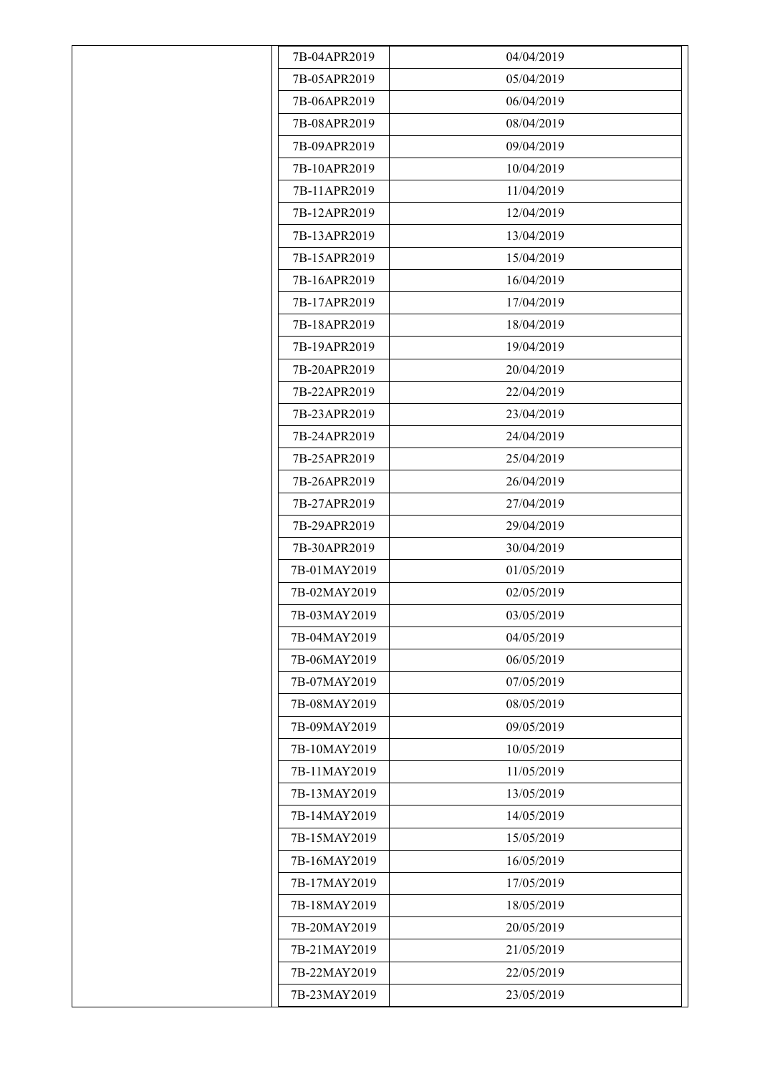| 7B-04APR2019 | 04/04/2019 |
|--------------|------------|
| 7B-05APR2019 | 05/04/2019 |
| 7B-06APR2019 | 06/04/2019 |
| 7B-08APR2019 | 08/04/2019 |
| 7B-09APR2019 | 09/04/2019 |
| 7B-10APR2019 | 10/04/2019 |
| 7B-11APR2019 | 11/04/2019 |
| 7B-12APR2019 | 12/04/2019 |
| 7B-13APR2019 | 13/04/2019 |
| 7B-15APR2019 | 15/04/2019 |
| 7B-16APR2019 | 16/04/2019 |
| 7B-17APR2019 | 17/04/2019 |
| 7B-18APR2019 | 18/04/2019 |
| 7B-19APR2019 | 19/04/2019 |
| 7B-20APR2019 | 20/04/2019 |
| 7B-22APR2019 | 22/04/2019 |
| 7B-23APR2019 | 23/04/2019 |
| 7B-24APR2019 | 24/04/2019 |
| 7B-25APR2019 | 25/04/2019 |
| 7B-26APR2019 | 26/04/2019 |
| 7B-27APR2019 | 27/04/2019 |
| 7B-29APR2019 | 29/04/2019 |
| 7B-30APR2019 | 30/04/2019 |
| 7B-01MAY2019 | 01/05/2019 |
| 7B-02MAY2019 | 02/05/2019 |
| 7B-03MAY2019 | 03/05/2019 |
| 7B-04MAY2019 | 04/05/2019 |
| 7B-06MAY2019 | 06/05/2019 |
| 7B-07MAY2019 | 07/05/2019 |
| 7B-08MAY2019 | 08/05/2019 |
| 7B-09MAY2019 | 09/05/2019 |
| 7B-10MAY2019 | 10/05/2019 |
| 7B-11MAY2019 | 11/05/2019 |
| 7B-13MAY2019 | 13/05/2019 |
| 7B-14MAY2019 | 14/05/2019 |
| 7B-15MAY2019 | 15/05/2019 |
| 7B-16MAY2019 | 16/05/2019 |
| 7B-17MAY2019 | 17/05/2019 |
| 7B-18MAY2019 | 18/05/2019 |
| 7B-20MAY2019 | 20/05/2019 |
| 7B-21MAY2019 | 21/05/2019 |
| 7B-22MAY2019 | 22/05/2019 |
| 7B-23MAY2019 | 23/05/2019 |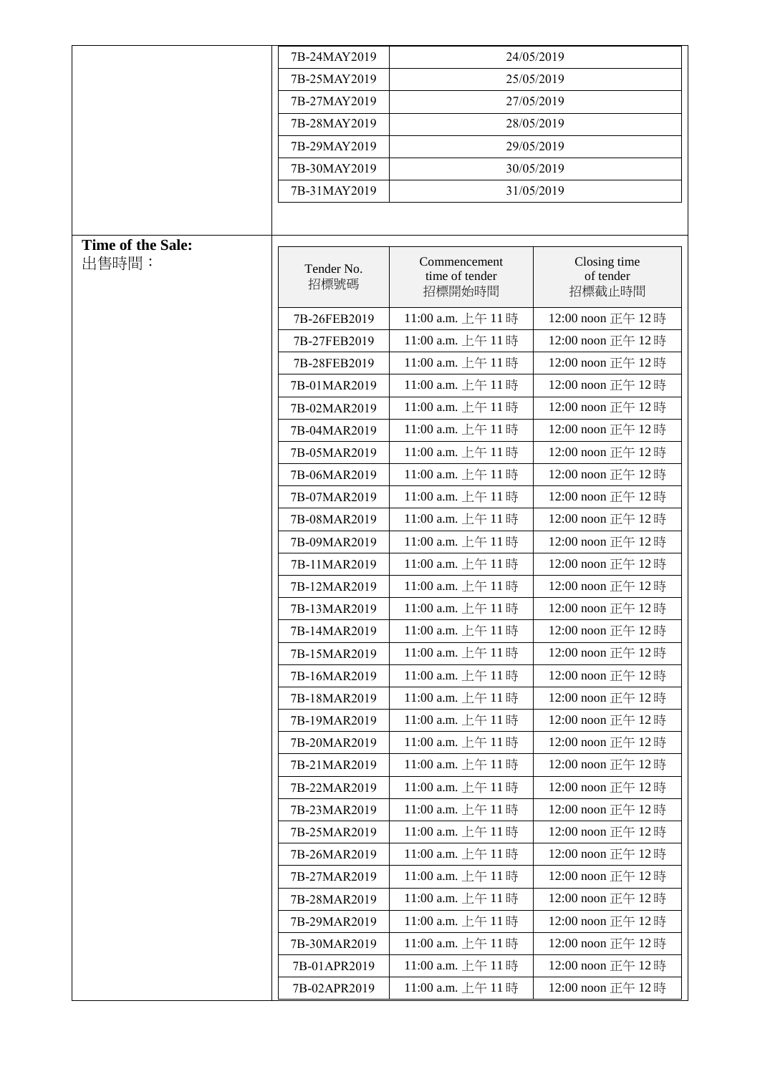|                   | 7B-24MAY2019       |                                          | 24/05/2019                          |
|-------------------|--------------------|------------------------------------------|-------------------------------------|
|                   | 7B-25MAY2019       |                                          | 25/05/2019                          |
|                   | 7B-27MAY2019       |                                          | 27/05/2019                          |
|                   | 7B-28MAY2019       |                                          | 28/05/2019                          |
|                   | 7B-29MAY2019       | 29/05/2019                               |                                     |
|                   | 7B-30MAY2019       |                                          | 30/05/2019                          |
|                   | 7B-31MAY2019       |                                          | 31/05/2019                          |
|                   |                    |                                          |                                     |
| Time of the Sale: |                    |                                          |                                     |
| 出售時間:             | Tender No.<br>招標號碼 | Commencement<br>time of tender<br>招標開始時間 | Closing time<br>of tender<br>招標截止時間 |
|                   | 7B-26FEB2019       | 11:00 a.m. 上午 11時                        | 12:00 noon 正午 12時                   |
|                   | 7B-27FEB2019       | 11:00 a.m. 上午 11時                        | 12:00 noon 正午 12時                   |
|                   | 7B-28FEB2019       | 11:00 a.m. 上午 11時                        | 12:00 noon 正午 12時                   |
|                   | 7B-01MAR2019       | 11:00 a.m. 上午 11時                        | 12:00 noon 正午 12時                   |
|                   | 7B-02MAR2019       | 11:00 a.m. 上午 11時                        | 12:00 noon 正午 12時                   |
|                   | 7B-04MAR2019       | 11:00 a.m. 上午 11時                        | 12:00 noon 正午 12時                   |
|                   | 7B-05MAR2019       | 11:00 a.m. 上午 11時                        | 12:00 noon 正午 12時                   |
|                   | 7B-06MAR2019       | 11:00 a.m. 上午 11時                        | 12:00 noon 正午 12時                   |
|                   | 7B-07MAR2019       | 11:00 a.m. 上午 11時                        | 12:00 noon 正午 12時                   |
|                   | 7B-08MAR2019       | 11:00 a.m. 上午 11時                        | 12:00 noon 正午 12時                   |
|                   | 7B-09MAR2019       | 11:00 a.m. 上午 11時                        | 12:00 noon 正午 12時                   |
|                   | 7B-11MAR2019       | 11:00 a.m. 上午 11時                        | 12:00 noon 正午 12時                   |
|                   | 7B-12MAR2019       | 11:00 a.m. 上午 11時                        | 12:00 noon 正午 12時                   |
|                   | 7B-13MAR2019       | 11:00 a.m. 上午 11時                        | 12:00 noon 正午 12時                   |
|                   | 7B-14MAR2019       | 11:00 a.m. 上午 11時                        | 12:00 noon 正午 12時                   |
|                   | 7B-15MAR2019       | 11:00 a.m. 上午 11時                        | 12:00 noon 正午 12時                   |
|                   | 7B-16MAR2019       | 11:00 a.m. 上午 11時                        | 12:00 noon 正午 12時                   |
|                   | 7B-18MAR2019       | 11:00 a.m. 上午 11時                        | 12:00 noon 正午 12時                   |
|                   | 7B-19MAR2019       | 11:00 a.m. 上午 11時                        | 12:00 noon 正午 12時                   |
|                   | 7B-20MAR2019       | 11:00 a.m. 上午 11時                        | 12:00 noon 正午 12時                   |
|                   | 7B-21MAR2019       | 11:00 a.m. 上午 11時                        | 12:00 noon 正午 12時                   |
|                   | 7B-22MAR2019       | 11:00 a.m. 上午 11時                        | 12:00 noon 正午 12時                   |
|                   | 7B-23MAR2019       | 11:00 a.m. 上午 11時                        | 12:00 noon 正午 12時                   |
|                   | 7B-25MAR2019       | 11:00 a.m. 上午 11時                        | 12:00 noon 正午 12時                   |
|                   | 7B-26MAR2019       | 11:00 a.m. 上午 11時                        | 12:00 noon 正午 12時                   |
|                   | 7B-27MAR2019       | 11:00 a.m. 上午 11時                        | 12:00 noon 正午 12時                   |
|                   | 7B-28MAR2019       | 11:00 a.m. 上午 11時                        | 12:00 noon 正午 12時                   |
|                   | 7B-29MAR2019       | 11:00 a.m. 上午 11時                        | 12:00 noon 正午 12時                   |
|                   | 7B-30MAR2019       | 11:00 a.m. 上午 11時                        | 12:00 noon 正午 12時                   |
|                   | 7B-01APR2019       | 11:00 a.m. 上午 11時                        | 12:00 noon 正午 12時                   |
|                   | 7B-02APR2019       | 11:00 a.m. 上午 11時                        | 12:00 noon 正午 12時                   |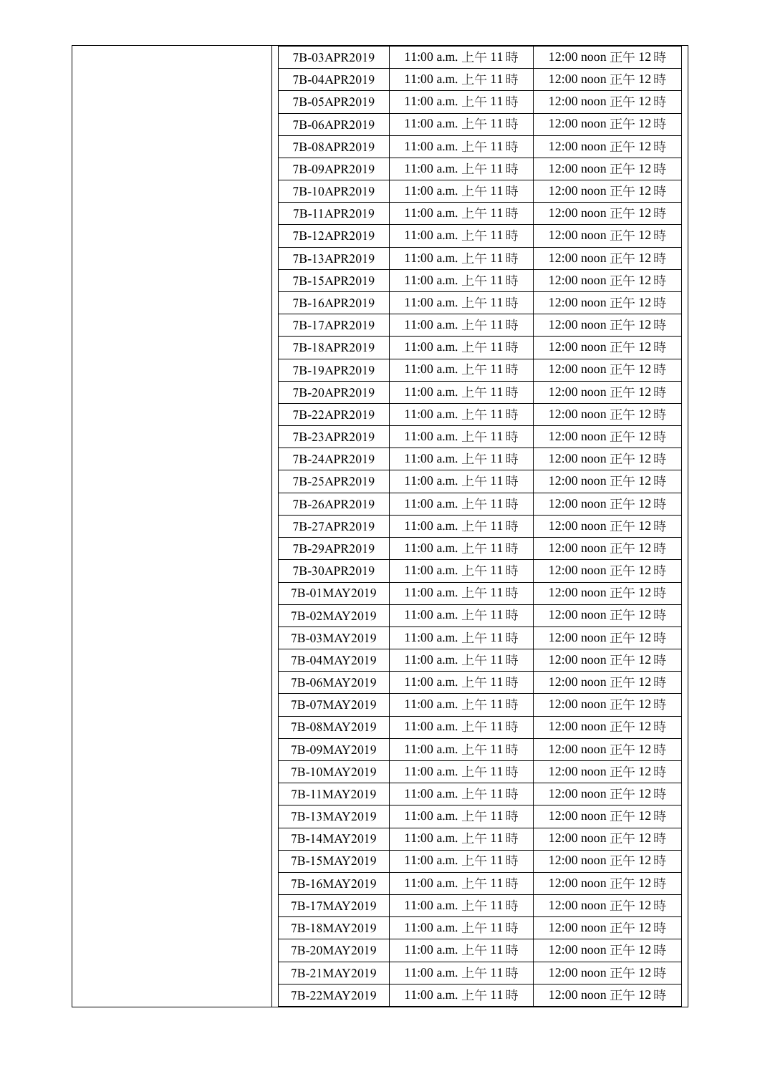| 7B-03APR2019 | 11:00 a.m. 上午 11時  | 12:00 noon 正午 12時  |
|--------------|--------------------|--------------------|
| 7B-04APR2019 | 11:00 a.m. 上午11時   | 12:00 noon 正午 12時  |
| 7B-05APR2019 | 11:00 a.m. 上午 11時  | 12:00 noon 正午 12時  |
| 7B-06APR2019 | 11:00 a.m. 上午 11時  | 12:00 noon 正午 12時  |
| 7B-08APR2019 | 11:00 a.m. 上午 11時  | 12:00 noon 正午 12時  |
| 7B-09APR2019 | 11:00 a.m. 上午 11時  | 12:00 noon 正午 12時  |
| 7B-10APR2019 | 11:00 a.m. 上午 11時  | 12:00 noon 正午 12時  |
| 7B-11APR2019 | 11:00 a.m. 上午 11時  | 12:00 noon 正午 12時  |
| 7B-12APR2019 | 11:00 a.m. 上午11時   | 12:00 noon 正午 12時  |
| 7B-13APR2019 | 11:00 a.m. 上午11時   | 12:00 noon 正午 12時  |
| 7B-15APR2019 | 11:00 a.m. 上午 11時  | 12:00 noon 正午 12時  |
| 7B-16APR2019 | 11:00 a.m. 上午 11時  | 12:00 noon 正午 12時  |
| 7B-17APR2019 | 11:00 a.m. 上午 11時  | 12:00 noon 正午 12時  |
| 7B-18APR2019 | 11:00 a.m. 上午 11時  | 12:00 noon 正午 12時  |
| 7B-19APR2019 | 11:00 a.m. 上午 11時  | 12:00 noon 正午 12時  |
| 7B-20APR2019 | 11:00 a.m. 上午11時   | 12:00 noon 正午 12時  |
| 7B-22APR2019 | 11:00 a.m. 上午 11時  | 12:00 noon 正午 12時  |
| 7B-23APR2019 | 11:00 a.m. 上午 11時  | 12:00 noon 正午 12時  |
| 7B-24APR2019 | 11:00 a.m. 上午 11時  | 12:00 noon 正午 12時  |
| 7B-25APR2019 | 11:00 a.m. 上午 11時  | 12:00 noon 正午 12時  |
| 7B-26APR2019 | 11:00 a.m. 上午11時   | 12:00 noon 正午 12時  |
| 7B-27APR2019 | 11:00 a.m. 上午 11時  | 12:00 noon 正午 12時  |
| 7B-29APR2019 | 11:00 a.m. 上午 11時  | 12:00 noon 正午 12時  |
| 7B-30APR2019 | 11:00 a.m. 上午 11時  | 12:00 noon 正午 12時  |
| 7B-01MAY2019 | 11:00 a.m. 上午11時   | 12:00 noon 正午 12時  |
| 7B-02MAY2019 | 11:00 a.m. 上午 11 時 | 12:00 noon 正午 12 時 |
| 7B-03MAY2019 | 11:00 a.m. 上午 11時  | 12:00 noon 正午 12時  |
| 7B-04MAY2019 | 11:00 a.m. 上午11時   | 12:00 noon 正午 12時  |
| 7B-06MAY2019 | 11:00 a.m. 上午11時   | 12:00 noon 正午 12時  |
| 7B-07MAY2019 | 11:00 a.m. 上午 11時  | 12:00 noon 正午 12時  |
| 7B-08MAY2019 | 11:00 a.m. 上午 11時  | 12:00 noon 正午 12時  |
| 7B-09MAY2019 | 11:00 a.m. 上午 11時  | 12:00 noon 正午 12時  |
| 7B-10MAY2019 | 11:00 a.m. 上午11時   | 12:00 noon 正午 12時  |
| 7B-11MAY2019 | 11:00 a.m. 上午 11時  | 12:00 noon 正午 12時  |
| 7B-13MAY2019 | 11:00 a.m. 上午 11 時 | 12:00 noon 正午 12時  |
| 7B-14MAY2019 | 11:00 a.m. 上午 11時  | 12:00 noon 正午 12時  |
| 7B-15MAY2019 | 11:00 a.m. 上午 11時  | 12:00 noon 正午 12時  |
| 7B-16MAY2019 | 11:00 a.m. 上午 11時  | 12:00 noon 正午 12時  |
| 7B-17MAY2019 | 11:00 a.m. 上午11時   | 12:00 noon 正午 12時  |
| 7B-18MAY2019 | 11:00 a.m. 上午 11時  | 12:00 noon 正午 12時  |
| 7B-20MAY2019 | 11:00 a.m. 上午 11時  | 12:00 noon 正午 12時  |
| 7B-21MAY2019 | 11:00 a.m. 上午11時   | 12:00 noon 正午 12時  |
| 7B-22MAY2019 | 11:00 a.m. 上午11時   | 12:00 noon 正午 12時  |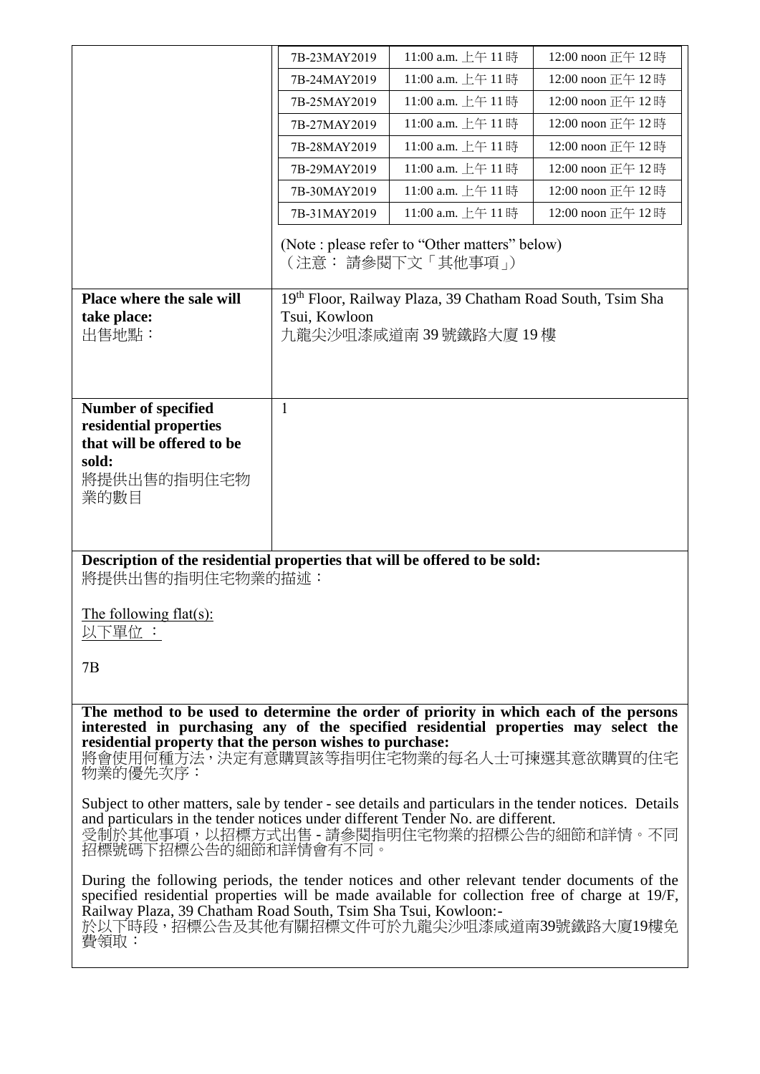|                                                                                                                                                                                                                                                                                                                      | 7B-23MAY2019  | 11:00 a.m. 上午 11時                                                  | 12:00 noon 正午 12時 |
|----------------------------------------------------------------------------------------------------------------------------------------------------------------------------------------------------------------------------------------------------------------------------------------------------------------------|---------------|--------------------------------------------------------------------|-------------------|
|                                                                                                                                                                                                                                                                                                                      | 7B-24MAY2019  | 11:00 a.m. 上午 11時                                                  | 12:00 noon 正午 12時 |
|                                                                                                                                                                                                                                                                                                                      | 7B-25MAY2019  | 11:00 a.m. 上午 11時                                                  | 12:00 noon 正午 12時 |
|                                                                                                                                                                                                                                                                                                                      | 7B-27MAY2019  | 11:00 a.m. 上午 11時                                                  | 12:00 noon 正午 12時 |
|                                                                                                                                                                                                                                                                                                                      | 7B-28MAY2019  | 11:00 a.m. 上午 11時                                                  | 12:00 noon 正午 12時 |
|                                                                                                                                                                                                                                                                                                                      | 7B-29MAY2019  | 11:00 a.m. 上午 11時                                                  | 12:00 noon 正午 12時 |
|                                                                                                                                                                                                                                                                                                                      | 7B-30MAY2019  | 11:00 a.m. 上午 11時                                                  | 12:00 noon 正午 12時 |
|                                                                                                                                                                                                                                                                                                                      | 7B-31MAY2019  | 11:00 a.m. 上午 11時                                                  | 12:00 noon 正午 12時 |
|                                                                                                                                                                                                                                                                                                                      |               | (Note : please refer to "Other matters" below)<br>(注意:請參閱下文「其他事項」) |                   |
| Place where the sale will                                                                                                                                                                                                                                                                                            |               | 19th Floor, Railway Plaza, 39 Chatham Road South, Tsim Sha         |                   |
| take place:<br>出售地點:                                                                                                                                                                                                                                                                                                 | Tsui, Kowloon | 九龍尖沙咀漆咸道南39號鐵路大廈19樓                                                |                   |
|                                                                                                                                                                                                                                                                                                                      |               |                                                                    |                   |
|                                                                                                                                                                                                                                                                                                                      |               |                                                                    |                   |
| <b>Number of specified</b>                                                                                                                                                                                                                                                                                           | $\mathbf{1}$  |                                                                    |                   |
| residential properties                                                                                                                                                                                                                                                                                               |               |                                                                    |                   |
| that will be offered to be                                                                                                                                                                                                                                                                                           |               |                                                                    |                   |
| sold:                                                                                                                                                                                                                                                                                                                |               |                                                                    |                   |
| 將提供出售的指明住宅物<br>業的數目                                                                                                                                                                                                                                                                                                  |               |                                                                    |                   |
|                                                                                                                                                                                                                                                                                                                      |               |                                                                    |                   |
|                                                                                                                                                                                                                                                                                                                      |               |                                                                    |                   |
| Description of the residential properties that will be offered to be sold:<br>將提供出售的指明住宅物業的描述:                                                                                                                                                                                                                       |               |                                                                    |                   |
| The following flat(s):<br>以下單位 :                                                                                                                                                                                                                                                                                     |               |                                                                    |                   |
| 7B                                                                                                                                                                                                                                                                                                                   |               |                                                                    |                   |
|                                                                                                                                                                                                                                                                                                                      |               |                                                                    |                   |
| The method to be used to determine the order of priority in which each of the persons<br>interested in purchasing any of the specified residential properties may select the<br>residential property that the person wishes to purchase:                                                                             |               |                                                                    |                   |
| 將會使用何種方法,決定有意購買該等指明住宅物業的每名人士可揀選其意欲購買的住宅<br>物業的優先次序:                                                                                                                                                                                                                                                                  |               |                                                                    |                   |
| Subject to other matters, sale by tender - see details and particulars in the tender notices. Details<br>and particulars in the tender notices under different Tender No. are different.<br>受制於其他事項,以招標方式出售 - 請參閱指明住宅物業的招標公告的細節和詳情。不同<br>招標號碼下招標公告的細節和詳情會有不同。                                                        |               |                                                                    |                   |
| During the following periods, the tender notices and other relevant tender documents of the<br>specified residential properties will be made available for collection free of charge at 19/F,<br>Railway Plaza, 39 Chatham Road South, Tsim Sha Tsui, Kowloon:-<br>於以下時段,招標公告及其他有關招標文件可於九龍尖沙咀漆咸道南39號鐵路大廈19樓免<br>費領取: |               |                                                                    |                   |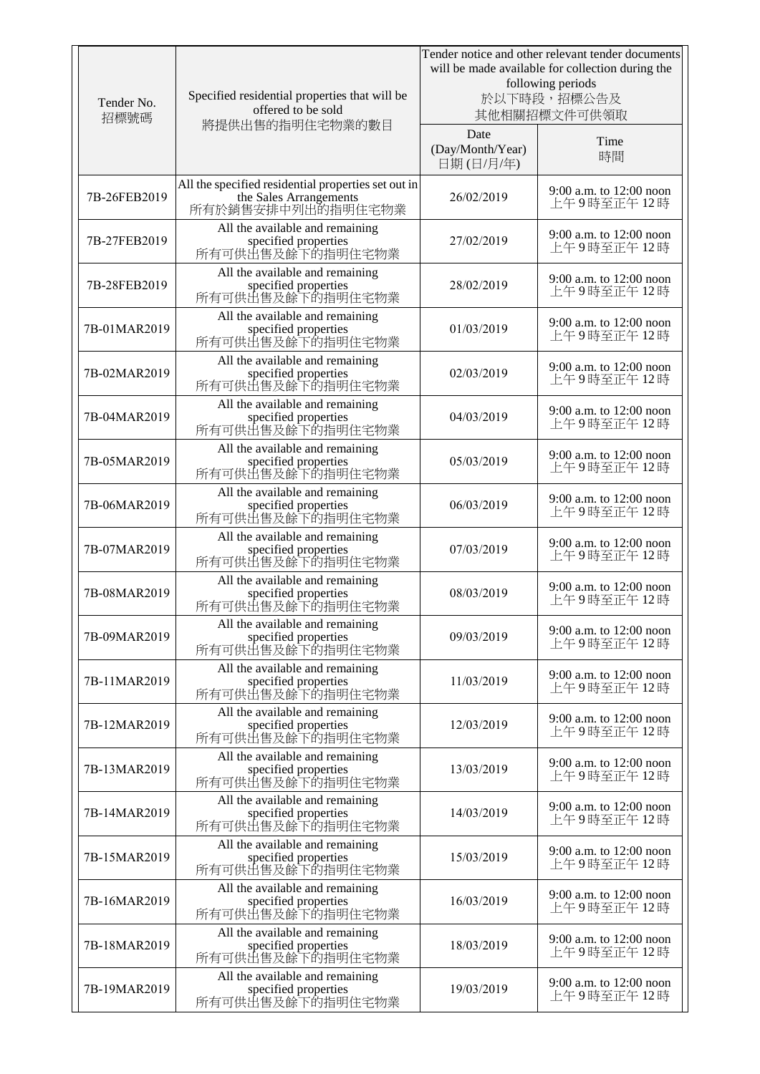| Tender No.<br>招標號碼 | Specified residential properties that will be<br>offered to be sold<br>將提供出售的指明住宅物業的數目             |                                       | Tender notice and other relevant tender documents<br>will be made available for collection during the<br>following periods<br>於以下時段,招標公告及<br>其他相關招標文件可供領取 |
|--------------------|----------------------------------------------------------------------------------------------------|---------------------------------------|-----------------------------------------------------------------------------------------------------------------------------------------------------------|
|                    |                                                                                                    | Date<br>(Day/Month/Year)<br>日期(日/月/年) | Time<br>時間                                                                                                                                                |
| 7B-26FEB2019       | All the specified residential properties set out in<br>the Sales Arrangements<br>所有於銷售安排中列出的指明住宅物業 | 26/02/2019                            | 9:00 a.m. to 12:00 noon<br>上午9時至正午12時                                                                                                                     |
| 7B-27FEB2019       | All the available and remaining<br>specified properties<br>所有可供出售及餘下的指明住宅物業                        | 27/02/2019                            | 9:00 a.m. to 12:00 noon<br>上午9時至正午12時                                                                                                                     |
| 7B-28FEB2019       | All the available and remaining<br>specified properties<br>所有可供出售及餘下的指明住宅物業                        | 28/02/2019                            | 9:00 a.m. to 12:00 noon<br>上午9時至正午12時                                                                                                                     |
| 7B-01MAR2019       | All the available and remaining<br>specified properties<br>所有可供出售及餘下的指明住宅物業                        | 01/03/2019                            | 9:00 a.m. to 12:00 noon<br>上午9時至正午12時                                                                                                                     |
| 7B-02MAR2019       | All the available and remaining<br>specified properties<br>所有可供出售及餘下的指明住宅物業                        | 02/03/2019                            | 9:00 a.m. to 12:00 noon<br>上午9時至正午12時                                                                                                                     |
| 7B-04MAR2019       | All the available and remaining<br>specified properties<br>所有可供出售及餘下的指明住宅物業                        | 04/03/2019                            | 9:00 a.m. to 12:00 noon<br>上午9時至正午12時                                                                                                                     |
| 7B-05MAR2019       | All the available and remaining<br>specified properties<br>所有可供出售及餘下的指明住宅物業                        | 05/03/2019                            | 9:00 a.m. to 12:00 noon<br>上午9時至正午12時                                                                                                                     |
| 7B-06MAR2019       | All the available and remaining<br>specified properties<br>所有可供出售及餘下的指明住宅物業                        | 06/03/2019                            | 9:00 a.m. to 12:00 noon<br>上午9時至正午12時                                                                                                                     |
| 7B-07MAR2019       | All the available and remaining<br>specified properties<br>所有可供出售及餘下的指明住宅物業                        | 07/03/2019                            | 9:00 a.m. to 12:00 noon<br>上午9時至正午12時                                                                                                                     |
| 7B-08MAR2019       | All the available and remaining<br>specified properties<br>所有可供出售及餘下的指明住宅物業                        | 08/03/2019                            | 9:00 a.m. to 12:00 noon<br>上午9時至正午12時                                                                                                                     |
| 7B-09MAR2019       | All the available and remaining<br>specified properties<br>所有可供出售及餘下的指明住宅物業                        | 09/03/2019                            | 9:00 a.m. to 12:00 noon<br>上午9時至正午12時                                                                                                                     |
| 7B-11MAR2019       | All the available and remaining<br>specified properties<br>所有可供出售及餘下的指明住宅物業                        | 11/03/2019                            | 9:00 a.m. to 12:00 noon<br>上午9時至正午12時                                                                                                                     |
| 7B-12MAR2019       | All the available and remaining<br>specified properties<br>所有可供出售及餘下的指明住宅物業                        | 12/03/2019                            | 9:00 a.m. to 12:00 noon<br>上午9時至正午12時                                                                                                                     |
| 7B-13MAR2019       | All the available and remaining<br>specified properties<br>所有可供出售及餘下的指明住宅物業                        | 13/03/2019                            | 9:00 a.m. to 12:00 noon<br>上午9時至正午12時                                                                                                                     |
| 7B-14MAR2019       | All the available and remaining<br>specified properties<br>所有可供出售及餘下的指明住宅物業                        | 14/03/2019                            | 9:00 a.m. to 12:00 noon<br>上午9時至正午12時                                                                                                                     |
| 7B-15MAR2019       | All the available and remaining<br>specified properties<br>所有可供出售及餘下的指明住宅物業                        | 15/03/2019                            | 9:00 a.m. to 12:00 noon<br>上午9時至正午12時                                                                                                                     |
| 7B-16MAR2019       | All the available and remaining<br>specified properties<br>所有可供出售及餘下的指明住宅物業                        | 16/03/2019                            | 9:00 a.m. to 12:00 noon<br>上午9時至正午12時                                                                                                                     |
| 7B-18MAR2019       | All the available and remaining<br>specified properties<br>所有可供出售及餘下的指明住宅物業                        | 18/03/2019                            | 9:00 a.m. to 12:00 noon<br>上午9時至正午12時                                                                                                                     |
| 7B-19MAR2019       | All the available and remaining<br>specified properties<br>所有可供出售及餘下的指明住宅物業                        | 19/03/2019                            | 9:00 a.m. to 12:00 noon<br>上午9時至正午12時                                                                                                                     |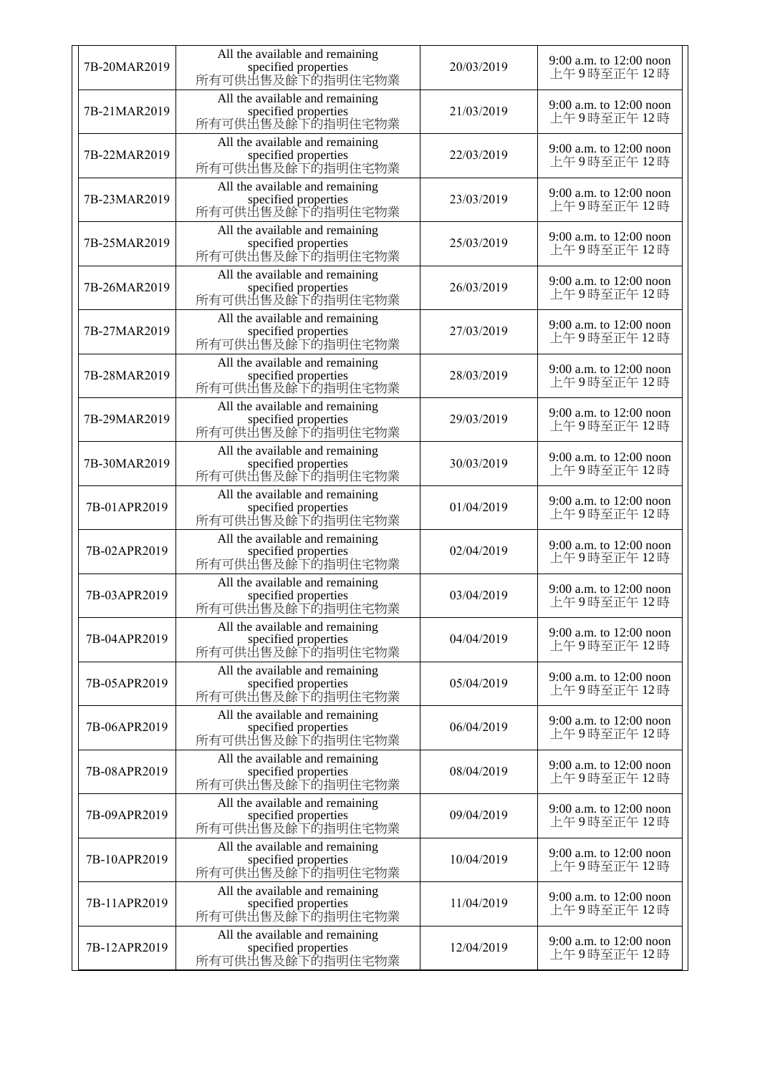| 7B-20MAR2019 | All the available and remaining<br>specified properties<br>所有可供出售及餘下的指明住宅物業 | 20/03/2019 | 9:00 a.m. to $12:00$ noon<br>上午9時至正午12時 |
|--------------|-----------------------------------------------------------------------------|------------|-----------------------------------------|
| 7B-21MAR2019 | All the available and remaining<br>specified properties<br>所有可供出售及餘下的指明住宅物業 | 21/03/2019 | 9:00 a.m. to 12:00 noon<br>上午9時至正午12時   |
| 7B-22MAR2019 | All the available and remaining<br>specified properties<br>所有可供出售及餘下的指明住宅物業 | 22/03/2019 | 9:00 a.m. to 12:00 noon<br>上午9時至正午12時   |
| 7B-23MAR2019 | All the available and remaining<br>specified properties<br>所有可供出售及餘下的指明住宅物業 | 23/03/2019 | 9:00 a.m. to 12:00 noon<br>上午9時至正午12時   |
| 7B-25MAR2019 | All the available and remaining<br>specified properties<br>所有可供出售及餘下的指明住宅物業 | 25/03/2019 | 9:00 a.m. to 12:00 noon<br>上午9時至正午12時   |
| 7B-26MAR2019 | All the available and remaining<br>specified properties<br>所有可供出售及餘下的指明住宅物業 | 26/03/2019 | 9:00 a.m. to 12:00 noon<br>上午9時至正午12時   |
| 7B-27MAR2019 | All the available and remaining<br>specified properties<br>所有可供出售及餘下的指明住宅物業 | 27/03/2019 | 9:00 a.m. to 12:00 noon<br>上午9時至正午12時   |
| 7B-28MAR2019 | All the available and remaining<br>specified properties<br>所有可供出售及餘下的指明住宅物業 | 28/03/2019 | 9:00 a.m. to $12:00$ noon<br>上午9時至正午12時 |
| 7B-29MAR2019 | All the available and remaining<br>specified properties<br>所有可供出售及餘下的指明住宅物業 | 29/03/2019 | 9:00 a.m. to 12:00 noon<br>上午9時至正午12時   |
| 7B-30MAR2019 | All the available and remaining<br>specified properties<br>所有可供出售及餘下的指明住宅物業 | 30/03/2019 | 9:00 a.m. to 12:00 noon<br>上午9時至正午12時   |
| 7B-01APR2019 | All the available and remaining<br>specified properties<br>所有可供出售及餘下的指明住宅物業 | 01/04/2019 | 9:00 a.m. to 12:00 noon<br>上午9時至正午12時   |
| 7B-02APR2019 | All the available and remaining<br>specified properties<br>所有可供出售及餘下的指明住宅物業 | 02/04/2019 | 9:00 a.m. to 12:00 noon<br>上午9時至正午12時   |
| 7B-03APR2019 | All the available and remaining<br>specified properties<br>所有可供出售及餘下的指明住宅物業 | 03/04/2019 | 9:00 a.m. to 12:00 noon<br>上午9時至正午12時   |
| 7B-04APR2019 | All the available and remaining<br>specified properties<br>所有可供出售及餘下的指明住宅物業 | 04/04/2019 | 9:00 a.m. to 12:00 noon<br>上午9時至正午12時   |
| 7B-05APR2019 | All the available and remaining<br>specified properties<br>所有可供出售及餘下的指明住宅物業 | 05/04/2019 | 9:00 a.m. to 12:00 noon<br>上午9時至正午12時   |
| 7B-06APR2019 | All the available and remaining<br>specified properties<br>所有可供出售及餘下的指明住宅物業 | 06/04/2019 | 9:00 a.m. to 12:00 noon<br>上午9時至正午12時   |
| 7B-08APR2019 | All the available and remaining<br>specified properties<br>所有可供出售及餘下的指明住宅物業 | 08/04/2019 | 9:00 a.m. to 12:00 noon<br>上午9時至正午12時   |
| 7B-09APR2019 | All the available and remaining<br>specified properties<br>所有可供出售及餘下的指明住宅物業 | 09/04/2019 | 9:00 a.m. to 12:00 noon<br>上午9時至正午12時   |
| 7B-10APR2019 | All the available and remaining<br>specified properties<br>所有可供出售及餘下的指明住宅物業 | 10/04/2019 | 9:00 a.m. to 12:00 noon<br>上午9時至正午12時   |
| 7B-11APR2019 | All the available and remaining<br>specified properties<br>所有可供出售及餘下的指明住宅物業 | 11/04/2019 | 9:00 a.m. to $12:00$ noon<br>上午9時至正午12時 |
| 7B-12APR2019 | All the available and remaining<br>specified properties<br>所有可供出售及餘下的指明住宅物業 | 12/04/2019 | 9:00 a.m. to 12:00 noon<br>上午9時至正午12時   |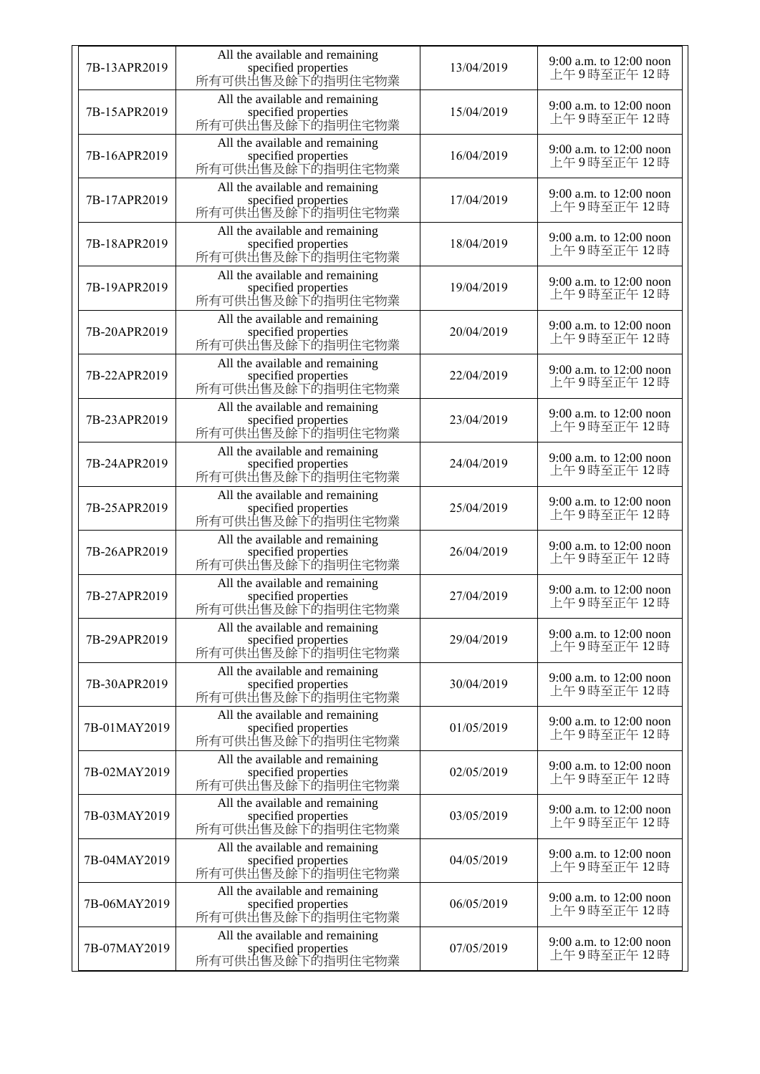| 7B-13APR2019 | All the available and remaining<br>specified properties<br>所有可供出售及餘下的指明住宅物業 | 13/04/2019 | 9:00 a.m. to 12:00 noon<br>上午9時至正午12時 |
|--------------|-----------------------------------------------------------------------------|------------|---------------------------------------|
| 7B-15APR2019 | All the available and remaining<br>specified properties<br>所有可供出售及餘下的指明住宅物業 | 15/04/2019 | 9:00 a.m. to 12:00 noon<br>上午9時至正午12時 |
| 7B-16APR2019 | All the available and remaining<br>specified properties<br>所有可供出售及餘下的指明住宅物業 | 16/04/2019 | 9:00 a.m. to 12:00 noon<br>上午9時至正午12時 |
| 7B-17APR2019 | All the available and remaining<br>specified properties<br>所有可供出售及餘下的指明住宅物業 | 17/04/2019 | 9:00 a.m. to 12:00 noon<br>上午9時至正午12時 |
| 7B-18APR2019 | All the available and remaining<br>specified properties<br>所有可供出售及餘下的指明住宅物業 | 18/04/2019 | 9:00 a.m. to 12:00 noon<br>上午9時至正午12時 |
| 7B-19APR2019 | All the available and remaining<br>specified properties<br>所有可供出售及餘下的指明住宅物業 | 19/04/2019 | 9:00 a.m. to 12:00 noon<br>上午9時至正午12時 |
| 7B-20APR2019 | All the available and remaining<br>specified properties<br>所有可供出售及餘下的指明住宅物業 | 20/04/2019 | 9:00 a.m. to 12:00 noon<br>上午9時至正午12時 |
| 7B-22APR2019 | All the available and remaining<br>specified properties<br>所有可供出售及餘下的指明住宅物業 | 22/04/2019 | 9:00 a.m. to 12:00 noon<br>上午9時至正午12時 |
| 7B-23APR2019 | All the available and remaining<br>specified properties<br>所有可供出售及餘下的指明住宅物業 | 23/04/2019 | 9:00 a.m. to 12:00 noon<br>上午9時至正午12時 |
| 7B-24APR2019 | All the available and remaining<br>specified properties<br>所有可供出售及餘下的指明住宅物業 | 24/04/2019 | 9:00 a.m. to 12:00 noon<br>上午9時至正午12時 |
| 7B-25APR2019 | All the available and remaining<br>specified properties<br>所有可供出售及餘下的指明住宅物業 | 25/04/2019 | 9:00 a.m. to 12:00 noon<br>上午9時至正午12時 |
| 7B-26APR2019 | All the available and remaining<br>specified properties<br>所有可供出售及餘下的指明住宅物業 | 26/04/2019 | 9:00 a.m. to 12:00 noon<br>上午9時至正午12時 |
| 7B-27APR2019 | All the available and remaining<br>specified properties<br>所有可供出售及餘下的指明住宅物業 | 27/04/2019 | 9:00 a.m. to 12:00 noon<br>上午9時至正午12時 |
| 7B-29APR2019 | All the available and remaining<br>specified properties<br>所有可供出售及餘下的指明住宅物業 | 29/04/2019 | 9:00 a.m. to 12:00 noon<br>上午9時至正午12時 |
| 7B-30APR2019 | All the available and remaining<br>specified properties<br>所有可供出售及餘下的指明住宅物業 | 30/04/2019 | 9:00 a.m. to 12:00 noon<br>上午9時至正午12時 |
| 7B-01MAY2019 | All the available and remaining<br>specified properties<br>所有可供出售及餘下的指明住宅物業 | 01/05/2019 | 9:00 a.m. to 12:00 noon<br>上午9時至正午12時 |
| 7B-02MAY2019 | All the available and remaining<br>specified properties<br>所有可供出售及餘下的指明住宅物業 | 02/05/2019 | 9:00 a.m. to 12:00 noon<br>上午9時至正午12時 |
| 7B-03MAY2019 | All the available and remaining<br>specified properties<br>所有可供出售及餘下的指明住宅物業 | 03/05/2019 | 9:00 a.m. to 12:00 noon<br>上午9時至正午12時 |
| 7B-04MAY2019 | All the available and remaining<br>specified properties<br>所有可供出售及餘下的指明住宅物業 | 04/05/2019 | 9:00 a.m. to 12:00 noon<br>上午9時至正午12時 |
| 7B-06MAY2019 | All the available and remaining<br>specified properties<br>所有可供出售及餘下的指明住宅物業 | 06/05/2019 | 9:00 a.m. to 12:00 noon<br>上午9時至正午12時 |
| 7B-07MAY2019 | All the available and remaining<br>specified properties<br>所有可供出售及餘下的指明住宅物業 | 07/05/2019 | 9:00 a.m. to 12:00 noon<br>上午9時至正午12時 |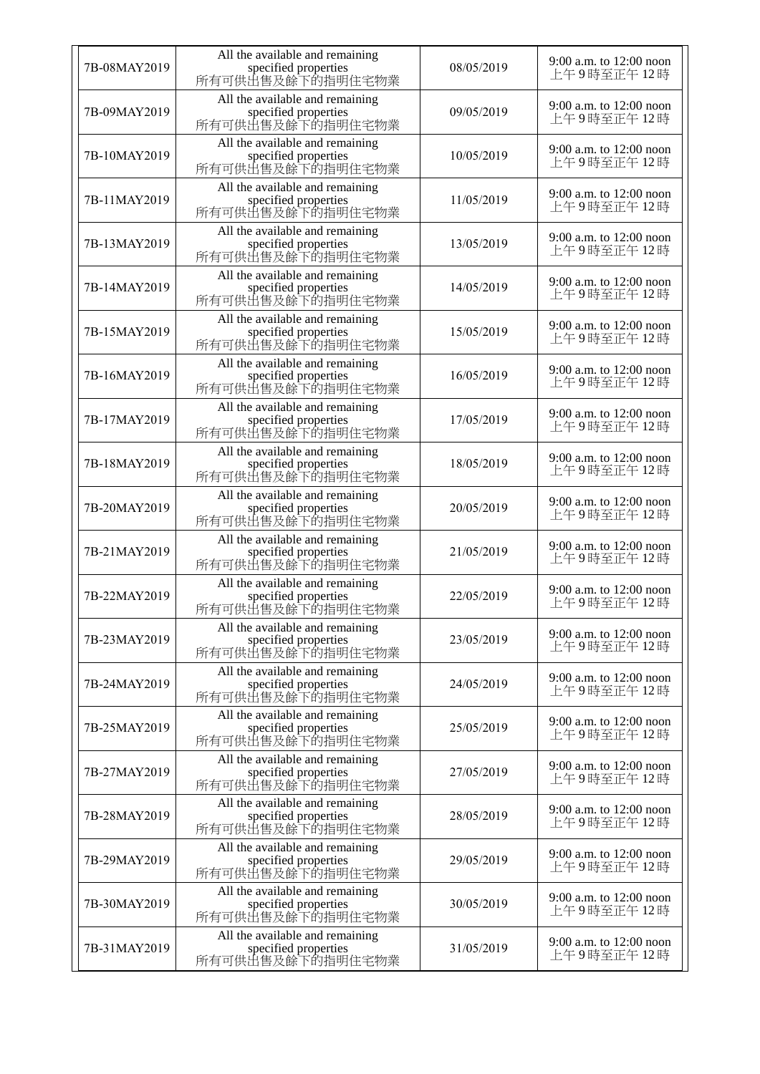| 7B-08MAY2019 | All the available and remaining<br>specified properties<br>所有可供出售及餘下的指明住宅物業 | 08/05/2019 | 9:00 a.m. to 12:00 noon<br>上午9時至正午12時 |
|--------------|-----------------------------------------------------------------------------|------------|---------------------------------------|
| 7B-09MAY2019 | All the available and remaining<br>specified properties<br>所有可供出售及餘下的指明住宅物業 | 09/05/2019 | 9:00 a.m. to 12:00 noon<br>上午9時至正午12時 |
| 7B-10MAY2019 | All the available and remaining<br>specified properties<br>所有可供出售及餘下的指明住宅物業 | 10/05/2019 | 9:00 a.m. to 12:00 noon<br>上午9時至正午12時 |
| 7B-11MAY2019 | All the available and remaining<br>specified properties<br>所有可供出售及餘下的指明住宅物業 | 11/05/2019 | 9:00 a.m. to 12:00 noon<br>上午9時至正午12時 |
| 7B-13MAY2019 | All the available and remaining<br>specified properties<br>所有可供出售及餘下的指明住宅物業 | 13/05/2019 | 9:00 a.m. to 12:00 noon<br>上午9時至正午12時 |
| 7B-14MAY2019 | All the available and remaining<br>specified properties<br>所有可供出售及餘下的指明住宅物業 | 14/05/2019 | 9:00 a.m. to 12:00 noon<br>上午9時至正午12時 |
| 7B-15MAY2019 | All the available and remaining<br>specified properties<br>所有可供出售及餘下的指明住宅物業 | 15/05/2019 | 9:00 a.m. to 12:00 noon<br>上午9時至正午12時 |
| 7B-16MAY2019 | All the available and remaining<br>specified properties<br>所有可供出售及餘下的指明住宅物業 | 16/05/2019 | 9:00 a.m. to 12:00 noon<br>上午9時至正午12時 |
| 7B-17MAY2019 | All the available and remaining<br>specified properties<br>所有可供出售及餘下的指明住宅物業 | 17/05/2019 | 9:00 a.m. to 12:00 noon<br>上午9時至正午12時 |
| 7B-18MAY2019 | All the available and remaining<br>specified properties<br>所有可供出售及餘下的指明住宅物業 | 18/05/2019 | 9:00 a.m. to 12:00 noon<br>上午9時至正午12時 |
| 7B-20MAY2019 | All the available and remaining<br>specified properties<br>所有可供出售及餘下的指明住宅物業 | 20/05/2019 | 9:00 a.m. to 12:00 noon<br>上午9時至正午12時 |
| 7B-21MAY2019 | All the available and remaining<br>specified properties<br>所有可供出售及餘下的指明住宅物業 | 21/05/2019 | 9:00 a.m. to 12:00 noon<br>上午9時至正午12時 |
| 7B-22MAY2019 | All the available and remaining<br>specified properties<br>所有可供出售及餘下的指明住宅物業 | 22/05/2019 | 9:00 a.m. to 12:00 noon<br>上午9時至正午12時 |
| 7B-23MAY2019 | All the available and remaining<br>specified properties<br>所有可供出售及餘下的指明住宅物業 | 23/05/2019 | 9:00 a.m. to 12:00 noon<br>上午9時至正午12時 |
| 7B-24MAY2019 | All the available and remaining<br>specified properties<br>所有可供出售及餘下的指明住宅物業 | 24/05/2019 | 9:00 a.m. to 12:00 noon<br>上午9時至正午12時 |
| 7B-25MAY2019 | All the available and remaining<br>specified properties<br>所有可供出售及餘下的指明住宅物業 | 25/05/2019 | 9:00 a.m. to 12:00 noon<br>上午9時至正午12時 |
| 7B-27MAY2019 | All the available and remaining<br>specified properties<br>所有可供出售及餘下的指明住宅物業 | 27/05/2019 | 9:00 a.m. to 12:00 noon<br>上午9時至正午12時 |
| 7B-28MAY2019 | All the available and remaining<br>specified properties<br>所有可供出售及餘下的指明住宅物業 | 28/05/2019 | 9:00 a.m. to 12:00 noon<br>上午9時至正午12時 |
| 7B-29MAY2019 | All the available and remaining<br>specified properties<br>所有可供出售及餘下的指明住宅物業 | 29/05/2019 | 9:00 a.m. to 12:00 noon<br>上午9時至正午12時 |
| 7B-30MAY2019 | All the available and remaining<br>specified properties<br>所有可供出售及餘下的指明住宅物業 | 30/05/2019 | 9:00 a.m. to 12:00 noon<br>上午9時至正午12時 |
| 7B-31MAY2019 | All the available and remaining<br>specified properties<br>所有可供出售及餘下的指明住宅物業 | 31/05/2019 | 9:00 a.m. to 12:00 noon<br>上午9時至正午12時 |